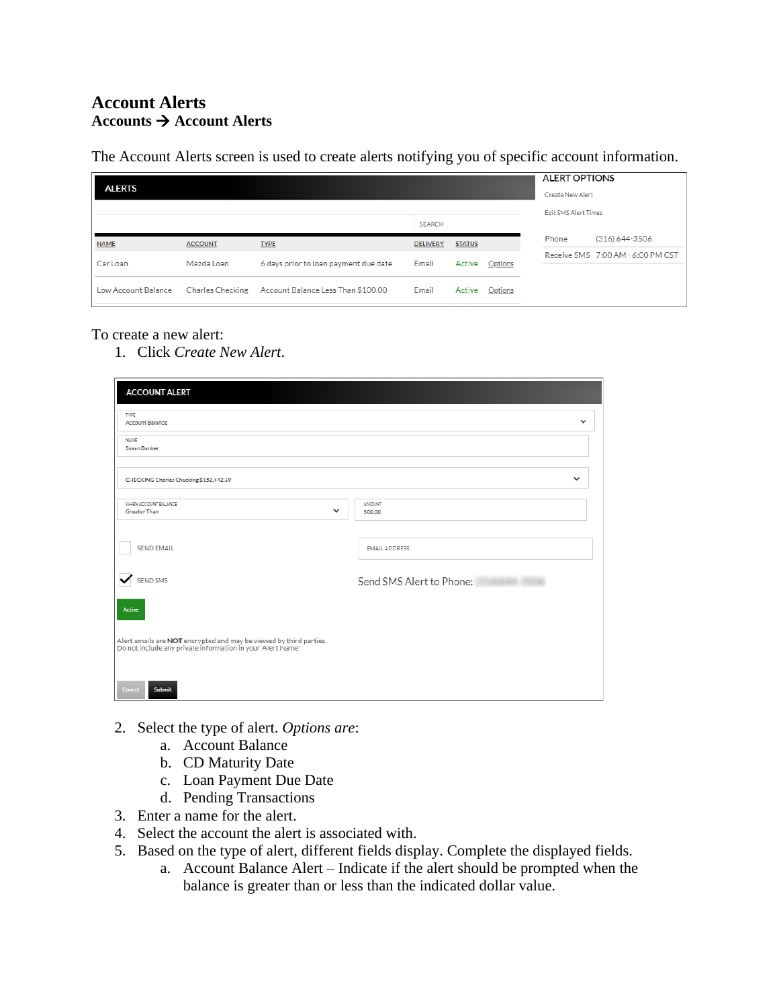## **Account Alerts Accounts** → **Account Alerts**

The Account Alerts screen is used to create alerts notifying you of specific account information.

| <b>ALERTS</b>       |                  |                                       |                 |               |         |  | <b>ALERT OPTIONS</b><br>Create New Alert |                                   |  |
|---------------------|------------------|---------------------------------------|-----------------|---------------|---------|--|------------------------------------------|-----------------------------------|--|
|                     |                  |                                       | SEARCH          |               |         |  | Edit SMS Alert Times                     |                                   |  |
| <b>NAME</b>         | <b>ACCOUNT</b>   | <b>TYPE</b>                           | <b>DELIVERY</b> | <b>STATUS</b> |         |  | Phone                                    | (316) 644-3506                    |  |
| Car Loan            | Mazda Loan       | 6 days prior to loan payment due date | Email           | Active        | Options |  |                                          | Receive SMS 7:00 AM - 6:00 PM CST |  |
| Low Account Balance | Charles Checking | Account Balance Less Than \$100.00    | Email           | Active        | Options |  |                                          |                                   |  |

## To create a new alert:

1. Click *Create New Alert*.

| <b>ACCOUNT ALERT</b>                                                                                                              |                          |  |
|-----------------------------------------------------------------------------------------------------------------------------------|--------------------------|--|
| TYPE<br>Account Balance                                                                                                           | ີ                        |  |
| <b>NAME</b><br>Susan Banker                                                                                                       |                          |  |
| CHECKING Charles Checking \$152,442.69                                                                                            | $\checkmark$             |  |
| WHEN ACCOUNT BALANCE<br>$\checkmark$<br>Greater Than                                                                              | AMOUNT<br>500.00         |  |
| SEND EMAIL                                                                                                                        | <b>EMAIL ADDRESS</b>     |  |
| ✓<br>SEND SMS                                                                                                                     | Send SMS Alert to Phone: |  |
| Active                                                                                                                            |                          |  |
| Alert emails are NOT encrypted and may be viewed by third parties.<br>Do not include any private information in your 'Alert Name' |                          |  |
| Cancel<br>Submit                                                                                                                  |                          |  |

- 2. Select the type of alert. *Options are*:
	- a. Account Balance
	- b. CD Maturity Date
	- c. Loan Payment Due Date
	- d. Pending Transactions
- 3. Enter a name for the alert.
- 4. Select the account the alert is associated with.
- 5. Based on the type of alert, different fields display. Complete the displayed fields.
	- a. Account Balance Alert Indicate if the alert should be prompted when the balance is greater than or less than the indicated dollar value.